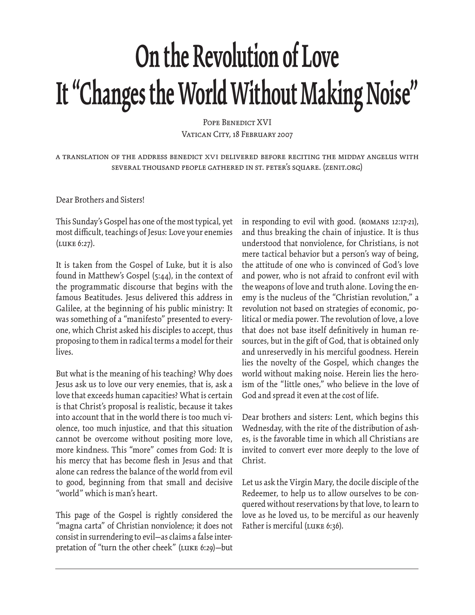## **On the Revolution of Love It "Changes the World Without Making Noise"**

POPE BENEDICT XVI VATICAN CITY, 18 FEBRUARY 2007

a translation of the address benedict XVI delivered before reciting the midday angelus with several thousand people gathered in st. peter's square. (zenit.org)

Dear Brothers and Sisters!

This Sunday's Gospel has one of the most typical, yet most difficult, teachings of Jesus: Love your enemies (Luke 6:27).

It is taken from the Gospel of Luke, but it is also found in Matthew's Gospel (5:44), in the context of the programmatic discourse that begins with the famous Beatitudes. Jesus delivered this address in Galilee, at the beginning of his public ministry: It was something of a "manifesto" presented to everyone, which Christ asked his disciples to accept, thus proposing to them in radical terms a model for their lives.

But what is the meaning of his teaching? Why does Jesus ask us to love our very enemies, that is, ask a love that exceeds human capacities? What is certain is that Christ's proposal is realistic, because it takes into account that in the world there is too much violence, too much injustice, and that this situation cannot be overcome without positing more love, more kindness. This "more" comes from God: It is his mercy that has become flesh in Jesus and that alone can redress the balance of the world from evil to good, beginning from that small and decisive "world" which is man's heart.

This page of the Gospel is rightly considered the "magna carta" of Christian nonviolence; it does not consist in surrendering to evil—as claims a false interpretation of "turn the other cheek" (Luke 6:29)—but in responding to evil with good. (Romans 12:17-21), and thus breaking the chain of injustice. It is thus understood that nonviolence, for Christians, is not mere tactical behavior but a person's way of being, the attitude of one who is convinced of God's love and power, who is not afraid to confront evil with the weapons of love and truth alone. Loving the enemy is the nucleus of the "Christian revolution," a revolution not based on strategies of economic, political or media power. The revolution of love, a love that does not base itself definitively in human resources, but in the gift of God, that is obtained only and unreservedly in his merciful goodness. Herein lies the novelty of the Gospel, which changes the world without making noise. Herein lies the heroism of the "little ones," who believe in the love of God and spread it even at the cost of life.

Dear brothers and sisters: Lent, which begins this Wednesday, with the rite of the distribution of ashes, is the favorable time in which all Christians are invited to convert ever more deeply to the love of Christ.

Let us ask the Virgin Mary, the docile disciple of the Redeemer, to help us to allow ourselves to be conquered without reservations by that love, to learn to love as he loved us, to be merciful as our heavenly Father is merciful (LUKE 6:36).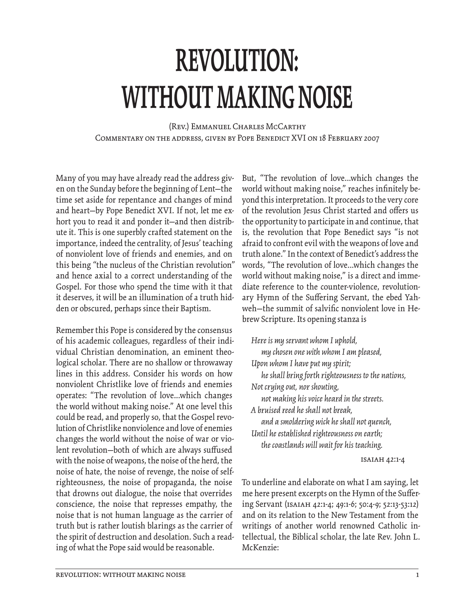## **REVOLUTION: WITHOUT MAKING NOISE**

(Rev.) Emmanuel Charles McCarthy Commentary on the address, given by Pope Benedict XVI on 18 February 2007

Many of you may have already read the address given on the Sunday before the beginning of Lent—the time set aside for repentance and changes of mind and heart—by Pope Benedict XVI. If not, let me exhort you to read it and ponder it—and then distribute it. This is one superbly crafted statement on the importance, indeed the centrality, of Jesus' teaching of nonviolent love of friends and enemies, and on this being "the nucleus of the Christian revolution" and hence axial to a correct understanding of the Gospel. For those who spend the time with it that it deserves, it will be an illumination of a truth hidden or obscured, perhaps since their Baptism.

Remember this Pope is considered by the consensus of his academic colleagues, regardless of their individual Christian denomination, an eminent theological scholar. There are no shallow or throwaway lines in this address. Consider his words on how nonviolent Christlike love of friends and enemies operates: "The revolution of love...which changes the world without making noise." At one level this could be read, and properly so, that the Gospel revolution of Christlike nonviolence and love of enemies changes the world without the noise of war or violent revolution-both of which are always suffused with the noise of weapons, the noise of the herd, the noise of hate, the noise of revenge, the noise of selfrighteousness, the noise of propaganda, the noise that drowns out dialogue, the noise that overrides conscience, the noise that represses empathy, the noise that is not human language as the carrier of truth but is rather loutish blarings as the carrier of the spirit of destruction and desolation. Such a reading of what the Pope said would be reasonable.

But, "The revolution of love...which changes the world without making noise," reaches infinitely beyond this interpretation. It proceeds to the very core of the revolution Jesus Christ started and offers us the opportunity to participate in and continue, that is, the revolution that Pope Benedict says "is not afraid to confront evil with the weapons of love and truth alone." In the context of Benedict's address the words, "The revolution of love...which changes the world without making noise," is a direct and immediate reference to the counter-violence, revolutionary Hymn of the Suffering Servant, the ebed Yahweh-the summit of salvific nonviolent love in Hebrew Scripture. Its opening stanza is

*Here is my servant whom I uphold, my chosen one with whom I am pleased, Upon whom I have put my spirit; he shall bring forth righteousness to the nations, Not crying out, nor shouting, not making his voice heard in the streets. A bruised reed he shall not break, and a smoldering wick he shall not quench, Until he established righteousness on earth; the coastlands will wait for his teaching.* Isaiah 42:1-4 To underline and elaborate on what I am saying, let

me here present excerpts on the Hymn of the Suffering Servant (Isaiah 42:1-4; 49:1-6; 50:4-9; 52:13-53:12) and on its relation to the New Testament from the writings of another world renowned Catholic intellectual, the Biblical scholar, the late Rev. John L. McKenzie: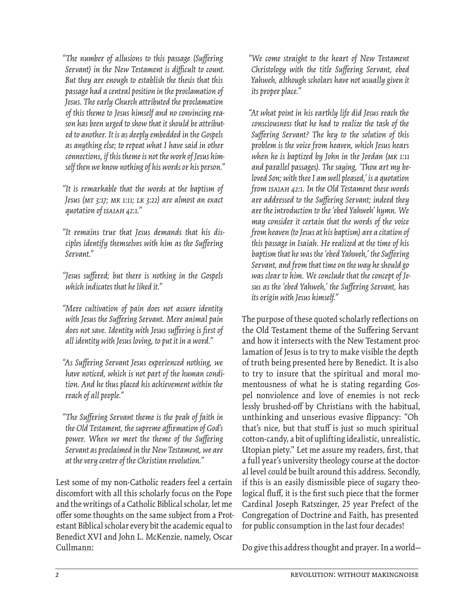"The number of allusions to this passage (Suffering *Servant*) in the New Testament is difficult to count. *But they are enough to establish the thesis that this passage had a central position in the proclamation of Jesus. The early Church attributed the proclamation of this theme to Jesus himself and no convincing reason has been urged to show that it should be attributed to another. It is as deeply embedded in the Gospels as anything else; to repeat what I have said in other connections, if this theme is not the work of Jesus himself then we know nothing of his words or his person."*

*"It is remarkable that the words at the baptism of Jesus (Mt 3:17; Mk 1:11; Lk 3:22) are almost an exact quotation of Isaiah 42:1."*

*"It remains true that Jesus demands that his dis*ciples identify themselves with him as the Suffering *Servant."*

*"Jesus suff ered; but there is nothing in the Gospels which indicates that he liked it."*

*"Mere cultivation of pain does not assure identity*  with Jesus the Suffering Servant. Mere animal pain *does not save. Identity with Jesus suffering is first of all identity with Jesus loving, to put it in a word."*

*"As Suff ering Servant Jesus experienced nothing, we have noticed, which is not part of the human condition. And he thus placed his achievement within the reach of all people."*

*"The Suff ering Servant theme is the peak of faith in the Old Testament, the supreme affi rmation of God's power.* When we meet the theme of the Suffering *Servant as proclaimed in the New Testament, we are at the very center of the Christian revolution."*

Lest some of my non-Catholic readers feel a certain discomfort with all this scholarly focus on the Pope and the writings of a Catholic Biblical scholar, let me offer some thoughts on the same subject from a Protestant Biblical scholar every bit the academic equal to Benedict XVI and John L. McKenzie, namely, Oscar Cullmann:

*"We come straight to the heart of New Testament Christology with the title Suffering Servant, ebed Yahweh, although scholars have not usually given it its proper place."*

*"At what point in his earthly life did Jesus reach the consciousness that he had to realize the task of the*  Suffering Servant? The key to the solution of this *problem is the voice from heaven, which Jesus hears when he is baptized by John in the Jordan (Mk 1:11 and parallel passages). The saying, 'Thou art my beloved Son; with thee I am well pleased,' is a quotation from Isaiah 42:1. In the Old Testament these words*  are addressed to the Suffering Servant; indeed they *are the introduction to the 'ebed Yahweh' hymn. We may consider it certain that the words of the voice from heaven (to Jesus at his baptism) are a citation of this passage in Isaiah. He realized at the time of his baptism that he was the 'ebed Yahweh,' the Suffering Servant, and from that time on the way he should go was clear to him. We conclude that the concept of Je*sus as the 'ebed Yahweh,' the Suffering Servant, has *its origin with Jesus himself."*

The purpose of these quoted scholarly reflections on the Old Testament theme of the Suffering Servant and how it intersects with the New Testament proclamation of Jesus is to try to make visible the depth of truth being presented here by Benedict. It is also to try to insure that the spiritual and moral momentousness of what he is stating regarding Gospel nonviolence and love of enemies is not recklessly brushed-off by Christians with the habitual, unthinking and unserious evasive flippancy: "Oh that's nice, but that stuff is just so much spiritual cotton-candy, a bit of uplifting idealistic, unrealistic, Utopian piety." Let me assure my readers, first, that a full year's university theology course at the doctoral level could be built around this address. Secondly, if this is an easily dismissible piece of sugary theological fluff, it is the first such piece that the former Cardinal Joseph Ratszinger, 25 year Prefect of the Congregation of Doctrine and Faith, has presented for public consumption in the last four decades!

Do give this address thought and prayer. In a world—